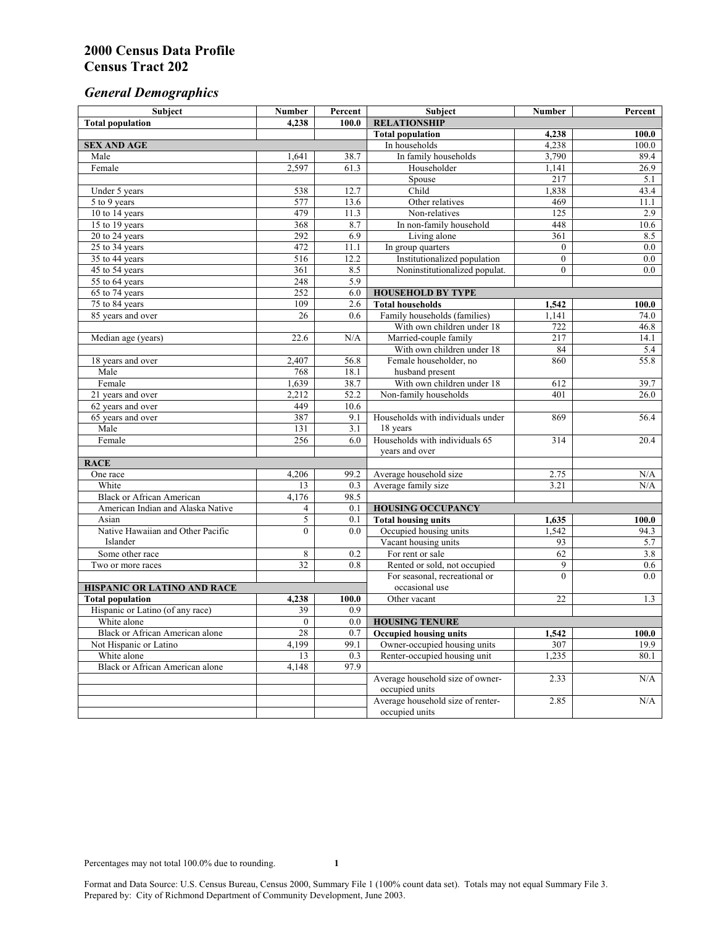# *General Demographics*

| Subject                           | <b>Number</b>   | Percent    | Subject                                                 | <b>Number</b>  | Percent       |
|-----------------------------------|-----------------|------------|---------------------------------------------------------|----------------|---------------|
| <b>Total population</b>           | 4,238           | 100.0      | <b>RELATIONSHIP</b>                                     |                |               |
|                                   |                 |            | <b>Total population</b>                                 | 4,238          | 100.0         |
| <b>SEX AND AGE</b>                |                 |            | In households                                           | 4,238          | 100.0         |
| Male                              | 1,641           | 38.7       | In family households                                    | 3,790          | 89.4          |
| Female                            | 2,597           | 61.3       | Householder                                             | 1,141          | 26.9          |
|                                   |                 |            | Spouse                                                  | 217            | 5.1           |
| Under 5 years                     | 538             | 12.7       | Child                                                   | 1,838          | 43.4          |
| 5 to 9 years                      | 577             | 13.6       | Other relatives                                         | 469            | 11.1          |
| 10 to 14 years                    | 479             | 11.3       | Non-relatives                                           | 125            | 2.9           |
| 15 to 19 years                    | 368             | 8.7        | In non-family household                                 | 448            | 10.6          |
| 20 to 24 years                    | 292             | 6.9        | Living alone                                            | 361            | 8.5           |
| $25 \text{ to } 34$ years         | 472             | 11.1       | In group quarters                                       | $\overline{0}$ | 0.0           |
| 35 to 44 years                    | 516             | 12.2       | Institutionalized population                            | $\overline{0}$ | 0.0           |
| 45 to 54 years                    | 361             | 8.5        | Noninstitutionalized populat.                           | $\overline{0}$ | 0.0           |
| 55 to 64 years                    | 248             | 5.9        |                                                         |                |               |
| 65 to 74 years                    | 252             | 6.0        | <b>HOUSEHOLD BY TYPE</b>                                |                |               |
| 75 to 84 years                    | 109<br>26       | 2.6<br>0.6 | <b>Total households</b><br>Family households (families) | 1,542          | 100.0<br>74.0 |
| 85 years and over                 |                 |            | With own children under 18                              | 1,141<br>722   | 46.8          |
|                                   | 22.6            | N/A        | Married-couple family                                   | 217            | 14.1          |
| Median age (years)                |                 |            | With own children under 18                              | 84             | 5.4           |
| 18 years and over                 | 2,407           | 56.8       | Female householder, no                                  | 860            | 55.8          |
| Male                              | 768             | 18.1       | husband present                                         |                |               |
| Female                            | 1,639           | 38.7       | With own children under 18                              | 612            | 39.7          |
| 21 years and over                 | 2,212           | 52.2       | Non-family households                                   | 401            | 26.0          |
| 62 years and over                 | 449             | 10.6       |                                                         |                |               |
| 65 years and over                 | 387             | 9.1        | Households with individuals under                       | 869            | 56.4          |
| Male                              | 131             | 3.1        | 18 years                                                |                |               |
| Female                            | 256             | 6.0        | Households with individuals 65                          | 314            | 20.4          |
|                                   |                 |            | years and over                                          |                |               |
| <b>RACE</b>                       |                 |            |                                                         |                |               |
| One race                          | 4,206           | 99.2       | Average household size                                  | 2.75           | $\rm N/A$     |
| White                             | 13              | 0.3        | Average family size                                     | 3.21           | N/A           |
| <b>Black or African American</b>  | 4,176           | 98.5       |                                                         |                |               |
| American Indian and Alaska Native | 4               | 0.1        | <b>HOUSING OCCUPANCY</b>                                |                |               |
| Asian                             | 5               | 0.1        | <b>Total housing units</b>                              | 1,635          | 100.0         |
| Native Hawaiian and Other Pacific | $\theta$        | 0.0        | Occupied housing units                                  | 1,542          | 94.3          |
| Islander                          |                 |            | Vacant housing units                                    | 93             | 5.7           |
| Some other race                   | 8               | 0.2        | For rent or sale                                        | 62             | 3.8           |
| Two or more races                 | $\overline{32}$ | 0.8        | Rented or sold, not occupied                            | 9              | 0.6           |
|                                   |                 |            | For seasonal, recreational or                           | $\theta$       | 0.0           |
| HISPANIC OR LATINO AND RACE       |                 |            | occasional use                                          |                |               |
| <b>Total population</b>           | 4,238           | 100.0      | Other vacant                                            | 22             | 1.3           |
| Hispanic or Latino (of any race)  | 39              | 0.9        |                                                         |                |               |
| White alone                       | $\overline{0}$  | 0.0        | <b>HOUSING TENURE</b>                                   |                |               |
| Black or African American alone   | 28              | 0.7        | <b>Occupied housing units</b>                           | 1,542          | 100.0         |
| Not Hispanic or Latino            | 4,199           | 99.1       | Owner-occupied housing units                            | 307            | 19.9          |
| White alone                       | 13              | 0.3        | Renter-occupied housing unit                            | 1,235          | 80.1          |
| Black or African American alone   | 4,148           | 97.9       |                                                         |                |               |
|                                   |                 |            | Average household size of owner-                        | 2.33           | N/A           |
|                                   |                 |            | occupied units                                          |                |               |
|                                   |                 |            | Average household size of renter-                       | 2.85           | N/A           |
|                                   |                 |            | occupied units                                          |                |               |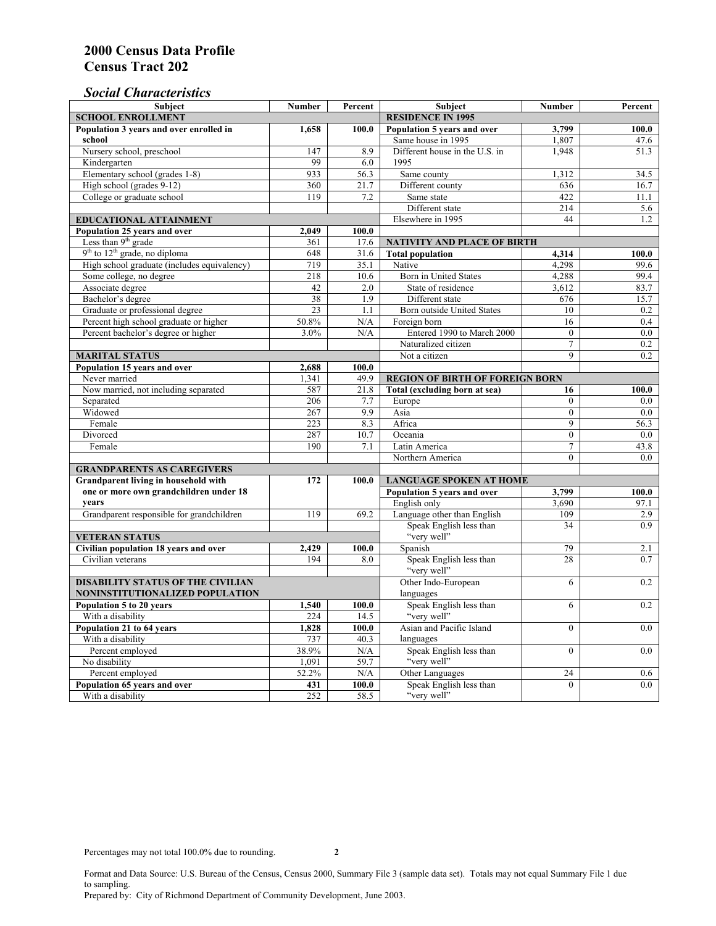## *Social Characteristics*

| <b>Subject</b>                                             | <b>Number</b>            | Percent             | <b>Subject</b>                                         | <b>Number</b>  | Percent    |
|------------------------------------------------------------|--------------------------|---------------------|--------------------------------------------------------|----------------|------------|
| <b>SCHOOL ENROLLMENT</b>                                   | <b>RESIDENCE IN 1995</b> |                     |                                                        |                |            |
| Population 3 years and over enrolled in                    | 1,658                    | 100.0               | Population 5 years and over                            | 3,799          | 100.0      |
| school                                                     |                          |                     | Same house in 1995                                     | 1,807          | 47.6       |
| Nursery school, preschool                                  | 147                      | 8.9                 | Different house in the U.S. in                         | 1.948          | 51.3       |
| Kindergarten                                               | 99                       | 6.0                 | 1995                                                   |                |            |
| Elementary school (grades 1-8)                             | 933                      | 56.3                | Same county                                            | 1,312          | 34.5       |
| High school (grades 9-12)                                  | 360                      | 21.7                | Different county                                       | 636            | 16.7       |
| College or graduate school                                 | 119                      | 7.2                 | Same state                                             | 422            | 11.1       |
|                                                            |                          |                     | Different state                                        | 214            | 5.6        |
| <b>EDUCATIONAL ATTAINMENT</b>                              |                          |                     | Elsewhere in 1995                                      | 44             | 1.2        |
| Population 25 years and over                               | 2,049                    | 100.0               |                                                        |                |            |
| Less than 9 <sup>th</sup> grade                            | 361                      | 17.6                | NATIVITY AND PLACE OF BIRTH                            |                |            |
| $9th$ to $12th$ grade, no diploma                          | 648                      | 31.6                | <b>Total population</b>                                | 4,314          | 100.0      |
| High school graduate (includes equivalency)                | 719                      | 35.1                | Native                                                 | 4.298          | 99.6       |
| Some college, no degree                                    | 218                      | 10.6                | <b>Born</b> in United States                           | 4,288          | 99.4       |
| Associate degree                                           | 42                       | 2.0                 | State of residence                                     | 3,612          | 83.7       |
| Bachelor's degree                                          | 38                       | 1.9                 | Different state                                        | 676            | 15.7       |
| Graduate or professional degree                            | 23                       | 1.1                 | Born outside United States                             | 10             | 0.2        |
| Percent high school graduate or higher                     | 50.8%                    | N/A                 | Foreign born                                           | 16             | 0.4        |
| Percent bachelor's degree or higher                        | 3.0%                     | N/A                 | Entered 1990 to March 2000                             | $\mathbf{0}$   | 0.0        |
|                                                            |                          |                     | Naturalized citizen                                    | $\overline{7}$ | 0.2        |
| <b>MARITAL STATUS</b>                                      |                          | Not a citizen       | $\mathbf{Q}$                                           | 0.2            |            |
| Population 15 years and over                               | 2,688                    | 100.0               |                                                        |                |            |
| Never married                                              | 1,341                    | 49.9                | <b>REGION OF BIRTH OF FOREIGN BORN</b>                 |                |            |
| Now married, not including separated                       | 587                      | 21.8                | Total (excluding born at sea)                          | 16             | 100.0      |
| Separated                                                  | 206                      | 7.7                 | Europe                                                 | $\overline{0}$ | 0.0        |
| Widowed                                                    | 267                      | 9.9                 | Asia                                                   | $\overline{0}$ | 0.0        |
| Female                                                     | 223                      | 8.3                 | Africa                                                 | 9              | 56.3       |
| Divorced                                                   | 287                      | 10.7                | Oceania                                                | $\Omega$       | 0.0        |
| Female                                                     | 190                      | 7.1                 | Latin America                                          | $\tau$         | 43.8       |
|                                                            |                          |                     | Northern America                                       | $\overline{0}$ | 0.0        |
| <b>GRANDPARENTS AS CAREGIVERS</b>                          |                          |                     |                                                        |                |            |
| Grandparent living in household with                       | 172                      | 100.0               | <b>LANGUAGE SPOKEN AT HOME</b>                         |                |            |
| one or more own grandchildren under 18                     |                          |                     | Population 5 years and over                            | 3,799          | 100.0      |
| years                                                      | 119                      |                     | English only                                           | 3,690<br>109   | 97.1       |
| Grandparent responsible for grandchildren                  |                          | 69.2                | Language other than English<br>Speak English less than | 34             | 2.9<br>0.9 |
|                                                            |                          |                     | "very well"                                            |                |            |
| <b>VETERAN STATUS</b>                                      |                          |                     | Spanish                                                | 79             | 2.1        |
| Civilian population 18 years and over<br>Civilian veterans | 2,429<br>194             | 100.0<br>8.0        |                                                        | 28             | 0.7        |
|                                                            |                          |                     | Speak English less than<br>"very well"                 |                |            |
| <b>DISABILITY STATUS OF THE CIVILIAN</b>                   |                          | Other Indo-European | 6                                                      | 0.2            |            |
| NONINSTITUTIONALIZED POPULATION                            | languages                |                     |                                                        |                |            |
| Population 5 to 20 years                                   | Speak English less than  | 6                   | 0.2                                                    |                |            |
| With a disability                                          | 1,540<br>224             | 100.0<br>14.5       | "very well"                                            |                |            |
| Population 21 to 64 years                                  | 1.828                    | 100.0               | Asian and Pacific Island                               | $\theta$       | 0.0        |
| With a disability                                          | 737                      | 40.3                | languages                                              |                |            |
| Percent employed                                           | 38.9%                    | N/A                 | Speak English less than                                | $\mathbf{0}$   | 0.0        |
| No disability                                              | 1,091                    | 59.7                | "very well"                                            |                |            |
| Percent employed                                           | 52.2%                    | N/A                 | Other Languages                                        | 24             | 0.6        |
| Population 65 years and over                               | 431                      | 100.0               | Speak English less than                                | $\mathbf{0}$   | 0.0        |
| With a disability                                          | 252                      | 58.5                | "very well"                                            |                |            |

Format and Data Source: U.S. Bureau of the Census, Census 2000, Summary File 3 (sample data set). Totals may not equal Summary File 1 due to sampling.

Prepared by: City of Richmond Department of Community Development, June 2003.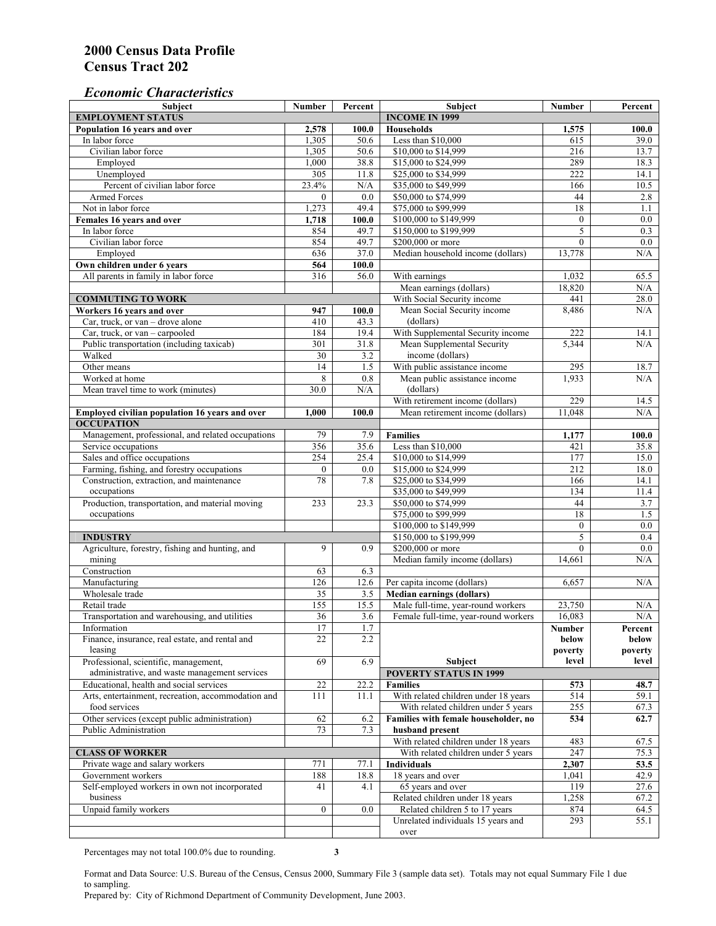## *Economic Characteristics*

| <b>Subject</b>                                     | <b>Number</b>    | Percent               | <b>Subject</b>                       | <b>Number</b>    | Percent          |
|----------------------------------------------------|------------------|-----------------------|--------------------------------------|------------------|------------------|
| <b>EMPLOYMENT STATUS</b>                           |                  | <b>INCOME IN 1999</b> |                                      |                  |                  |
| Population 16 years and over                       | 2,578            | 100.0                 | <b>Households</b>                    | 1,575            | 100.0            |
| In labor force                                     | 1,305            | 50.6                  | Less than \$10,000                   | 615              | 39.0             |
| Civilian labor force                               | 1,305            | 50.6                  | \$10,000 to \$14,999                 | 216              | 13.7             |
| Employed                                           | 1,000            | 38.8                  | \$15,000 to \$24,999                 | 289              | 18.3             |
| Unemployed                                         | 305              | 11.8                  | \$25,000 to \$34,999                 | 222              | 14.1             |
| Percent of civilian labor force                    | 23.4%            | N/A                   | \$35,000 to \$49,999                 | 166              | 10.5             |
| Armed Forces                                       | $\mathbf{0}$     | 0.0                   | \$50,000 to \$74,999                 | 44               | 2.8              |
| Not in labor force                                 | 1,273            | 49.4                  | \$75,000 to \$99,999                 | 18               | 1.1              |
| Females 16 years and over                          | 1,718            | 100.0                 | \$100,000 to \$149,999               | $\boldsymbol{0}$ | 0.0              |
| In labor force                                     | 854              | 49.7                  | \$150,000 to \$199,999               | 5                | 0.3              |
| Civilian labor force                               | 854              | 49.7                  | \$200,000 or more                    | $\mathbf{0}$     | $0.0\,$          |
| Employed                                           | 636              | 37.0                  | Median household income (dollars)    | 13,778           | N/A              |
| Own children under 6 years                         | 564              | 100.0                 |                                      |                  |                  |
| All parents in family in labor force               | 316              | 56.0                  | With earnings                        | 1,032            | 65.5             |
|                                                    |                  |                       | Mean earnings (dollars)              | 18,820           | N/A              |
| <b>COMMUTING TO WORK</b>                           |                  |                       | With Social Security income          | 441              | 28.0             |
| Workers 16 years and over                          | 947              | 100.0                 | Mean Social Security income          | 8,486            | N/A              |
| Car, truck, or van - drove alone                   | 410              | 43.3                  | (dollars)                            |                  |                  |
| Car, truck, or van – carpooled                     | 184              | 19.4                  | With Supplemental Security income    | 222              | 14.1             |
| Public transportation (including taxicab)          | 301              | 31.8                  | Mean Supplemental Security           | 5,344            | N/A              |
| Walked                                             | 30               | 3.2                   | income (dollars)                     |                  |                  |
| Other means                                        | 14               | 1.5                   | With public assistance income        | 295              | 18.7             |
| Worked at home                                     | 8                | 0.8                   | Mean public assistance income        | 1,933            | N/A              |
| Mean travel time to work (minutes)                 | 30.0             | N/A                   | (dollars)                            |                  |                  |
|                                                    |                  |                       | With retirement income (dollars)     | 229              | 14.5             |
| Employed civilian population 16 years and over     | 1.000            | 100.0                 | Mean retirement income (dollars)     | 11.048           | N/A              |
| <b>OCCUPATION</b>                                  |                  |                       |                                      |                  |                  |
| Management, professional, and related occupations  | 79               | 7.9                   | <b>Families</b>                      | 1,177            | 100.0            |
| Service occupations                                | 356              | 35.6                  | Less than \$10,000                   | 421              | 35.8             |
| Sales and office occupations                       | 254              | 25.4                  | \$10,000 to \$14,999                 | 177              | 15.0             |
| Farming, fishing, and forestry occupations         | $\boldsymbol{0}$ | 0.0                   | \$15,000 to \$24,999                 | 212              | 18.0             |
| Construction, extraction, and maintenance          | 78               | 7.8                   | \$25,000 to \$34,999                 | 166              | 14.1             |
| occupations                                        |                  |                       | \$35,000 to \$49,999                 | 134              | 11.4             |
| Production, transportation, and material moving    | 233              | 23.3                  | \$50,000 to \$74,999                 | 44               | 3.7              |
| occupations                                        |                  |                       | \$75,000 to \$99,999                 | 18               | 1.5              |
|                                                    |                  |                       | \$100,000 to \$149,999               | $\mathbf{0}$     | 0.0              |
| <b>INDUSTRY</b>                                    |                  |                       | \$150,000 to \$199,999               | 5                | 0.4              |
| Agriculture, forestry, fishing and hunting, and    | 9                | 0.9                   | \$200,000 or more                    | $\theta$         | $\overline{0.0}$ |
| mining                                             |                  |                       | Median family income (dollars)       | 14,661           | $\rm N/A$        |
| Construction                                       | 63               | 6.3                   |                                      |                  |                  |
| Manufacturing                                      | 126              | 12.6                  | Per capita income (dollars)          | 6,657            | N/A              |
| Wholesale trade                                    | 35               | 3.5                   | <b>Median earnings (dollars)</b>     |                  |                  |
| Retail trade                                       | 155              | 15.5                  | Male full-time, year-round workers   | 23,750           | N/A              |
| Transportation and warehousing, and utilities      | 36               | 3.6                   | Female full-time, year-round workers | 16,083           | N/A              |
| Information                                        | 17               | 1.7                   |                                      | Number           | Percent          |
| Finance, insurance, real estate, and rental and    | 22               | 2.2                   |                                      | below            | below            |
| leasing                                            |                  |                       |                                      | poverty          | poverty          |
| Professional, scientific, management,              | 69               | 6.9                   | Subject                              | level            | level            |
| administrative, and waste management services      |                  |                       | <b>POVERTY STATUS IN 1999</b>        |                  |                  |
| Educational, health and social services            | 22               | 22.2                  | <b>Families</b>                      | 573              | 48.7             |
| Arts, entertainment, recreation, accommodation and | 111              | 11.1                  | With related children under 18 years | 514              | 59.1             |
| food services                                      |                  |                       | With related children under 5 years  | 255              | 67.3             |
| Other services (except public administration)      | 62               | 6.2                   | Families with female householder, no | 534              | 62.7             |
| Public Administration                              | 73               | 7.3                   | husband present                      |                  |                  |
|                                                    |                  |                       | With related children under 18 years | 483              | 67.5             |
| <b>CLASS OF WORKER</b>                             |                  |                       | With related children under 5 years  | 247              | 75.3             |
| Private wage and salary workers                    | 771              | 77.1                  | Individuals                          | 2,307            | 53.5             |
| Government workers                                 | 188              | 18.8                  | 18 years and over                    | 1,041            | 42.9             |
| Self-employed workers in own not incorporated      | 41               | 4.1                   | 65 years and over                    | 119              | 27.6             |
| business                                           |                  |                       | Related children under 18 years      | 1,258            | 67.2             |
| Unpaid family workers                              | $\mathbf{0}$     | 0.0                   | Related children 5 to 17 years       | 874              | 64.5             |
|                                                    |                  |                       | Unrelated individuals 15 years and   | 293              | 55.1             |
|                                                    |                  |                       | over                                 |                  |                  |

Percentages may not total 100.0% due to rounding. **3** 

Format and Data Source: U.S. Bureau of the Census, Census 2000, Summary File 3 (sample data set). Totals may not equal Summary File 1 due to sampling.

Prepared by: City of Richmond Department of Community Development, June 2003.